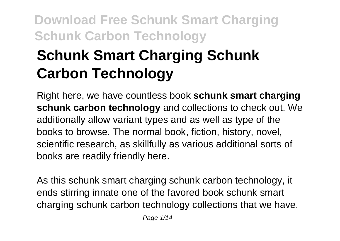# **Schunk Smart Charging Schunk Carbon Technology**

Right here, we have countless book **schunk smart charging schunk carbon technology** and collections to check out. We additionally allow variant types and as well as type of the books to browse. The normal book, fiction, history, novel, scientific research, as skillfully as various additional sorts of books are readily friendly here.

As this schunk smart charging schunk carbon technology, it ends stirring innate one of the favored book schunk smart charging schunk carbon technology collections that we have.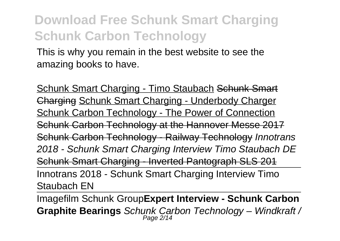This is why you remain in the best website to see the amazing books to have.

Schunk Smart Charging - Timo Staubach Schunk Smart Charging Schunk Smart Charging - Underbody Charger Schunk Carbon Technology - The Power of Connection Schunk Carbon Technology at the Hannover Messe 2017 Schunk Carbon Technology - Railway Technology Innotrans 2018 - Schunk Smart Charging Interview Timo Staubach DE Schunk Smart Charging - Inverted Pantograph SLS 201 Innotrans 2018 - Schunk Smart Charging Interview Timo Staubach EN

Imagefilm Schunk Group**Expert Interview - Schunk Carbon Graphite Bearings** Schunk Carbon Technology – Windkraft / Page 2/14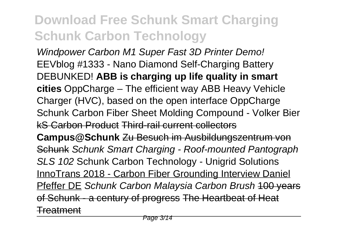Windpower Carbon M1 Super Fast 3D Printer Demo! EEVblog #1333 - Nano Diamond Self-Charging Battery DEBUNKED! **ABB is charging up life quality in smart cities** OppCharge – The efficient way ABB Heavy Vehicle Charger (HVC), based on the open interface OppCharge Schunk Carbon Fiber Sheet Molding Compound - Volker Bier kS Carbon Product Third-rail current collectors **Campus@Schunk** Zu Besuch im Ausbildungszentrum von Schunk Schunk Smart Charging - Roof-mounted Pantograph SLS 102 Schunk Carbon Technology - Unigrid Solutions InnoTrans 2018 - Carbon Fiber Grounding Interview Daniel Pfeffer DE Schunk Carbon Malaysia Carbon Brush 100 years of Schunk - a century of progress The Heartbeat of Heat Treatment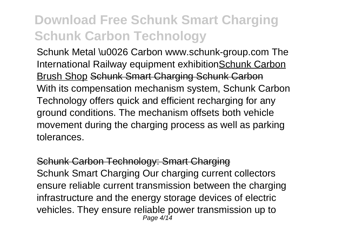Schunk Metal \u0026 Carbon www.schunk-group.com The International Railway equipment exhibitionSchunk Carbon Brush Shop Schunk Smart Charging Schunk Carbon With its compensation mechanism system, Schunk Carbon Technology offers quick and efficient recharging for any ground conditions. The mechanism offsets both vehicle movement during the charging process as well as parking tolerances.

Schunk Carbon Technology: Smart Charging Schunk Smart Charging Our charging current collectors ensure reliable current transmission between the charging infrastructure and the energy storage devices of electric vehicles. They ensure reliable power transmission up to Page 4/14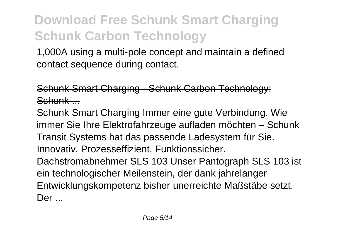1,000A using a multi-pole concept and maintain a defined contact sequence during contact.

Schunk Smart Charging - Schunk Carbon Technology: Schunk -

Schunk Smart Charging Immer eine gute Verbindung. Wie immer Sie Ihre Elektrofahrzeuge aufladen möchten – Schunk Transit Systems hat das passende Ladesystem für Sie. Innovativ. Prozesseffizient. Funktionssicher. Dachstromabnehmer SLS 103 Unser Pantograph SLS 103 ist ein technologischer Meilenstein, der dank jahrelanger Entwicklungskompetenz bisher unerreichte Maßstäbe setzt. Der ...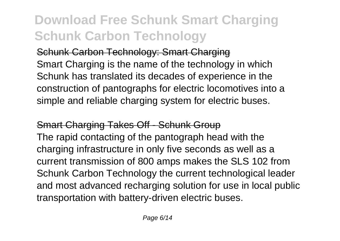Schunk Carbon Technology: Smart Charging Smart Charging is the name of the technology in which Schunk has translated its decades of experience in the construction of pantographs for electric locomotives into a simple and reliable charging system for electric buses.

#### Smart Charging Takes Off - Schunk Group

The rapid contacting of the pantograph head with the charging infrastructure in only five seconds as well as a current transmission of 800 amps makes the SLS 102 from Schunk Carbon Technology the current technological leader and most advanced recharging solution for use in local public transportation with battery-driven electric buses.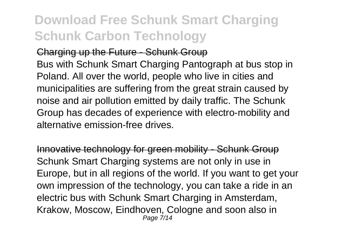#### Charging up the Future - Schunk Group

Bus with Schunk Smart Charging Pantograph at bus stop in Poland. All over the world, people who live in cities and municipalities are suffering from the great strain caused by noise and air pollution emitted by daily traffic. The Schunk Group has decades of experience with electro-mobility and alternative emission-free drives.

Innovative technology for green mobility - Schunk Group Schunk Smart Charging systems are not only in use in Europe, but in all regions of the world. If you want to get your own impression of the technology, you can take a ride in an electric bus with Schunk Smart Charging in Amsterdam, Krakow, Moscow, Eindhoven, Cologne and soon also in Page 7/14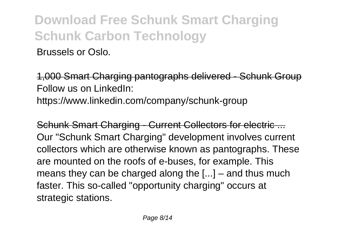Brussels or Oslo.

1,000 Smart Charging pantographs delivered - Schunk Group Follow us on LinkedIn: https://www.linkedin.com/company/schunk-group

Schunk Smart Charging - Current Collectors for electric ... Our "Schunk Smart Charging" development involves current collectors which are otherwise known as pantographs. These are mounted on the roofs of e-buses, for example. This means they can be charged along the [...] – and thus much faster. This so-called "opportunity charging" occurs at strategic stations.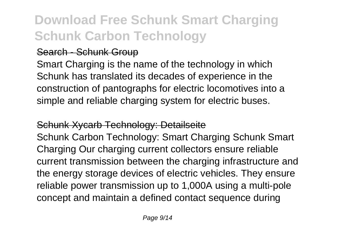#### Search - Schunk Group

Smart Charging is the name of the technology in which Schunk has translated its decades of experience in the construction of pantographs for electric locomotives into a simple and reliable charging system for electric buses.

#### Schunk Xycarb Technology: Detailseite

Schunk Carbon Technology: Smart Charging Schunk Smart Charging Our charging current collectors ensure reliable current transmission between the charging infrastructure and the energy storage devices of electric vehicles. They ensure reliable power transmission up to 1,000A using a multi-pole concept and maintain a defined contact sequence during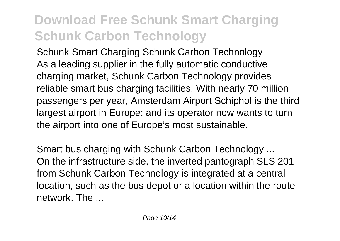Schunk Smart Charging Schunk Carbon Technology As a leading supplier in the fully automatic conductive charging market, Schunk Carbon Technology provides reliable smart bus charging facilities. With nearly 70 million passengers per year, Amsterdam Airport Schiphol is the third largest airport in Europe; and its operator now wants to turn the airport into one of Europe's most sustainable.

Smart bus charging with Schunk Carbon Technology ... On the infrastructure side, the inverted pantograph SLS 201 from Schunk Carbon Technology is integrated at a central location, such as the bus depot or a location within the route network The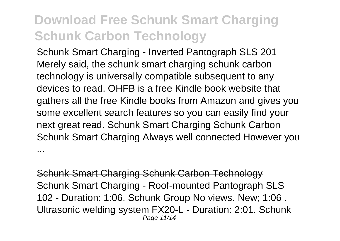Schunk Smart Charging - Inverted Pantograph SLS 201 Merely said, the schunk smart charging schunk carbon technology is universally compatible subsequent to any devices to read. OHFB is a free Kindle book website that gathers all the free Kindle books from Amazon and gives you some excellent search features so you can easily find your next great read. Schunk Smart Charging Schunk Carbon Schunk Smart Charging Always well connected However you ...

Schunk Smart Charging Schunk Carbon Technology Schunk Smart Charging - Roof-mounted Pantograph SLS 102 - Duration: 1:06. Schunk Group No views. New; 1:06 . Ultrasonic welding system FX20-L - Duration: 2:01. Schunk Page 11/14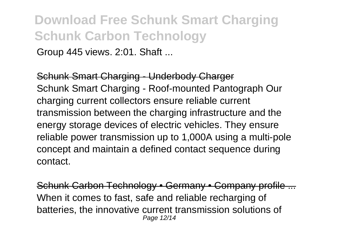Group 445 views. 2:01. Shaft ...

Schunk Smart Charging - Underbody Charger Schunk Smart Charging - Roof-mounted Pantograph Our charging current collectors ensure reliable current transmission between the charging infrastructure and the energy storage devices of electric vehicles. They ensure reliable power transmission up to 1,000A using a multi-pole concept and maintain a defined contact sequence during contact.

Schunk Carbon Technology • Germany • Company profile ... When it comes to fast, safe and reliable recharging of batteries, the innovative current transmission solutions of Page 12/14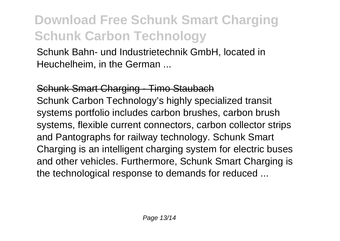Schunk Bahn- und Industrietechnik GmbH, located in Heuchelheim, in the German ...

Schunk Smart Charging - Timo Staubach Schunk Carbon Technology's highly specialized transit systems portfolio includes carbon brushes, carbon brush systems, flexible current connectors, carbon collector strips and Pantographs for railway technology. Schunk Smart Charging is an intelligent charging system for electric buses and other vehicles. Furthermore, Schunk Smart Charging is the technological response to demands for reduced ...